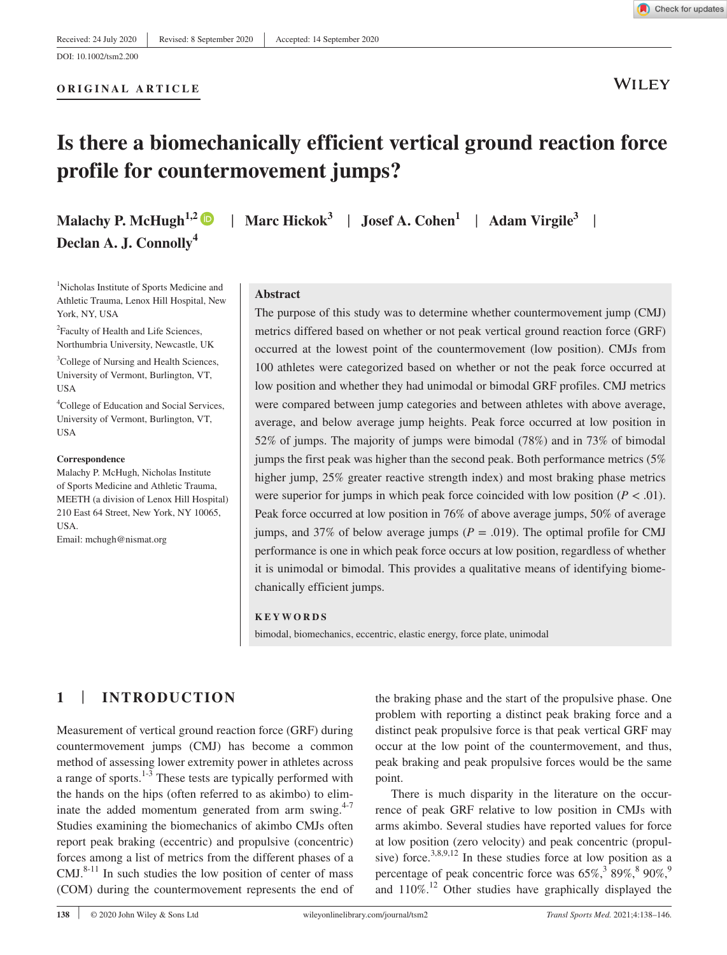**WILEY** 

# **Is there a biomechanically efficient vertical ground reaction force profile for countermovement jumps?**

**Malachy P. McHugh<sup>1,[2](https://orcid.org/0000-0002-8371-8151)</sup>**  $\bullet$  **| Marc Hickok<sup>3</sup> | Josef A. Cohen<sup>1</sup> | Adam Virgile<sup>3</sup> | Declan A. J. Connolly<sup>4</sup>**

**ORIGINAL ARTICLE**

1 Nicholas Institute of Sports Medicine and Athletic Trauma, Lenox Hill Hospital, New York, NY, USA

<sup>2</sup> Faculty of Health and Life Sciences, Northumbria University, Newcastle, UK

3 College of Nursing and Health Sciences, University of Vermont, Burlington, VT, USA

4 College of Education and Social Services, University of Vermont, Burlington, VT, USA

#### **Correspondence**

Malachy P. McHugh, Nicholas Institute of Sports Medicine and Athletic Trauma, MEETH (a division of Lenox Hill Hospital) 210 East 64 Street, New York, NY 10065, USA.

Email: [mchugh@nismat.org](mailto:mchugh@nismat.org)

**Abstract**

The purpose of this study was to determine whether countermovement jump (CMJ) metrics differed based on whether or not peak vertical ground reaction force (GRF) occurred at the lowest point of the countermovement (low position). CMJs from 100 athletes were categorized based on whether or not the peak force occurred at low position and whether they had unimodal or bimodal GRF profiles. CMJ metrics were compared between jump categories and between athletes with above average, average, and below average jump heights. Peak force occurred at low position in 52% of jumps. The majority of jumps were bimodal (78%) and in 73% of bimodal jumps the first peak was higher than the second peak. Both performance metrics (5% higher jump, 25% greater reactive strength index) and most braking phase metrics were superior for jumps in which peak force coincided with low position  $(P < .01)$ . Peak force occurred at low position in 76% of above average jumps, 50% of average jumps, and 37% of below average jumps ( $P = .019$ ). The optimal profile for CMJ performance is one in which peak force occurs at low position, regardless of whether it is unimodal or bimodal. This provides a qualitative means of identifying biomechanically efficient jumps.

#### **KEYWORDS**

bimodal, biomechanics, eccentric, elastic energy, force plate, unimodal

# **1** | **INTRODUCTION**

Measurement of vertical ground reaction force (GRF) during countermovement jumps (CMJ) has become a common method of assessing lower extremity power in athletes across a range of sports. $1-3$  These tests are typically performed with the hands on the hips (often referred to as akimbo) to eliminate the added momentum generated from arm swing. $4-7$ Studies examining the biomechanics of akimbo CMJs often report peak braking (eccentric) and propulsive (concentric) forces among a list of metrics from the different phases of a  $CMJ.<sup>8-11</sup>$  In such studies the low position of center of mass (COM) during the countermovement represents the end of

the braking phase and the start of the propulsive phase. One problem with reporting a distinct peak braking force and a distinct peak propulsive force is that peak vertical GRF may occur at the low point of the countermovement, and thus, peak braking and peak propulsive forces would be the same point.

There is much disparity in the literature on the occurrence of peak GRF relative to low position in CMJs with arms akimbo. Several studies have reported values for force at low position (zero velocity) and peak concentric (propulsive) force.<sup>3,8,9,12</sup> In these studies force at low position as a percentage of peak concentric force was  $65\%,^3 89\%,^8 90\%,^9$ and 110%.12 Other studies have graphically displayed the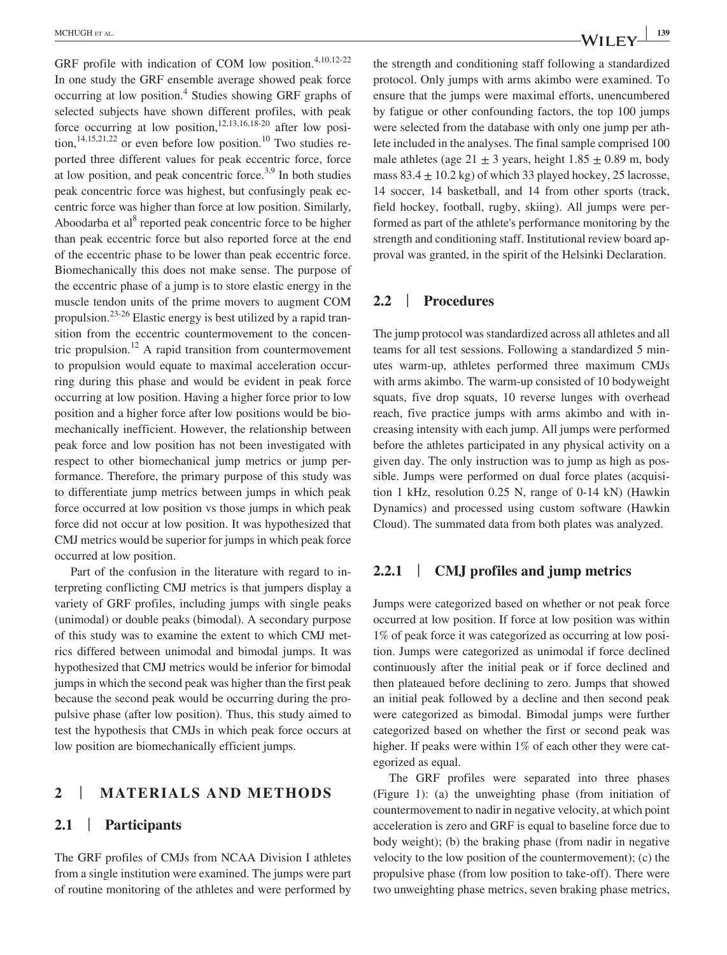GRF profile with indication of COM low position.<sup>4,10,12-22</sup> In one study the GRF ensemble average showed peak force occurring at low position.<sup>4</sup> Studies showing GRF graphs of selected subjects have shown different profiles, with peak force occurring at low position,<sup>12,13,16,18-20</sup> after low position,<sup>14,15,21,22</sup> or even before low position.<sup>10</sup> Two studies reported three different values for peak eccentric force, force at low position, and peak concentric force.<sup>3,9</sup> In both studies peak concentric force was highest, but confusingly peak eccentric force was higher than force at low position. Similarly, Aboodarba et al<sup>8</sup> reported peak concentric force to be higher than peak eccentric force but also reported force at the end of the eccentric phase to be lower than peak eccentric force. Biomechanically this does not make sense. The purpose of the eccentric phase of a jump is to store elastic energy in the muscle tendon units of the prime movers to augment COM propulsion.<sup>23-26</sup> Elastic energy is best utilized by a rapid transition from the eccentric countermovement to the concentric propulsion.<sup>12</sup> A rapid transition from countermovement to propulsion would equate to maximal acceleration occurring during this phase and would be evident in peak force occurring at low position. Having a higher force prior to low position and a higher force after low positions would be biomechanically inefficient. However, the relationship between peak force and low position has not been investigated with respect to other biomechanical jump metrics or jump performance. Therefore, the primary purpose of this study was to differentiate jump metrics between jumps in which peak force occurred at low position vs those jumps in which peak force did not occur at low position. It was hypothesized that CMJ metrics would be superior for jumps in which peak force occurred at low position.

Part of the confusion in the literature with regard to interpreting conflicting CMJ metrics is that jumpers display a variety of GRF profiles, including jumps with single peaks (unimodal) or double peaks (bimodal). A secondary purpose of this study was to examine the extent to which CMJ metrics differed between unimodal and bimodal jumps. It was hypothesized that CMJ metrics would be inferior for bimodal jumps in which the second peak was higher than the first peak because the second peak would be occurring during the propulsive phase (after low position). Thus, this study aimed to test the hypothesis that CMJs in which peak force occurs at low position are biomechanically efficient jumps.

# **2** | **MATERIALS AND METHODS**

#### **2.1** | **Participants**

The GRF profiles of CMJs from NCAA Division I athletes from a single institution were examined. The jumps were part of routine monitoring of the athletes and were performed by the strength and conditioning staff following a standardized protocol. Only jumps with arms akimbo were examined. To ensure that the jumps were maximal efforts, unencumbered by fatigue or other confounding factors, the top 100 jumps were selected from the database with only one jump per athlete included in the analyses. The final sample comprised 100 male athletes (age  $21 \pm 3$  years, height  $1.85 \pm 0.89$  m, body mass  $83.4 \pm 10.2$  kg) of which 33 played hockey, 25 lacrosse, 14 soccer, 14 basketball, and 14 from other sports (track, field hockey, football, rugby, skiing). All jumps were performed as part of the athlete's performance monitoring by the strength and conditioning staff. Institutional review board approval was granted, in the spirit of the Helsinki Declaration.

#### **2.2** | **Procedures**

The jump protocol was standardized across all athletes and all teams for all test sessions. Following a standardized 5 minutes warm-up, athletes performed three maximum CMJs with arms akimbo. The warm-up consisted of 10 bodyweight squats, five drop squats, 10 reverse lunges with overhead reach, five practice jumps with arms akimbo and with increasing intensity with each jump. All jumps were performed before the athletes participated in any physical activity on a given day. The only instruction was to jump as high as possible. Jumps were performed on dual force plates (acquisition 1 kHz, resolution 0.25 N, range of 0-14 kN) (Hawkin Dynamics) and processed using custom software (Hawkin Cloud). The summated data from both plates was analyzed.

# **2.2.1** | **CMJ profiles and jump metrics**

Jumps were categorized based on whether or not peak force occurred at low position. If force at low position was within 1% of peak force it was categorized as occurring at low position. Jumps were categorized as unimodal if force declined continuously after the initial peak or if force declined and then plateaued before declining to zero. Jumps that showed an initial peak followed by a decline and then second peak were categorized as bimodal. Bimodal jumps were further categorized based on whether the first or second peak was higher. If peaks were within 1% of each other they were categorized as equal.

The GRF profiles were separated into three phases (Figure 1): (a) the unweighting phase (from initiation of countermovement to nadir in negative velocity, at which point acceleration is zero and GRF is equal to baseline force due to body weight); (b) the braking phase (from nadir in negative velocity to the low position of the countermovement); (c) the propulsive phase (from low position to take-off). There were two unweighting phase metrics, seven braking phase metrics,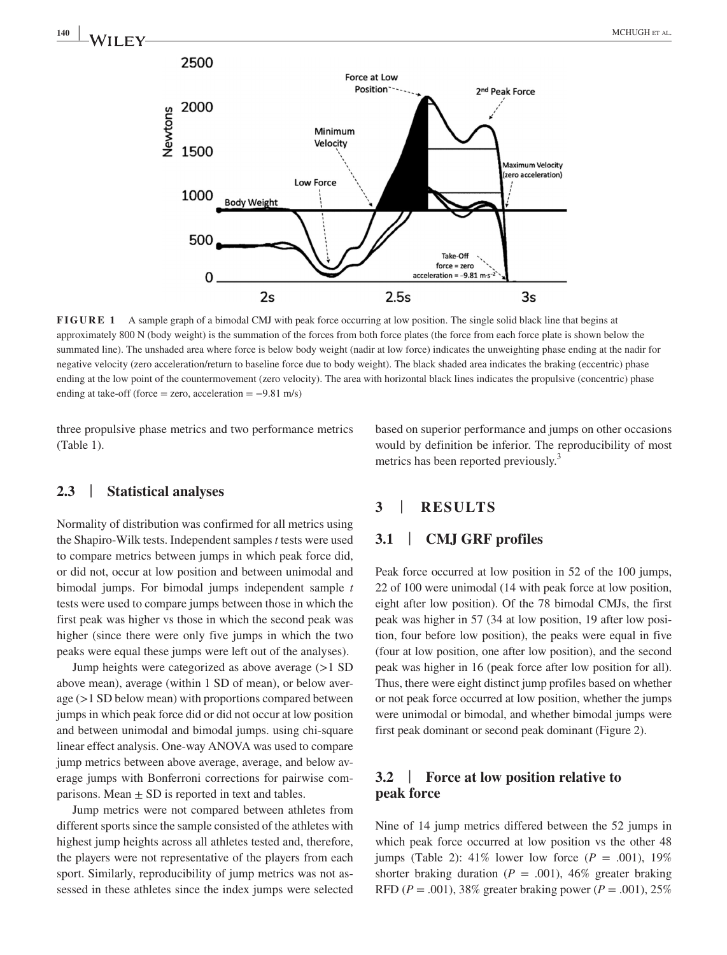

**FIGURE 1** A sample graph of a bimodal CMJ with peak force occurring at low position. The single solid black line that begins at approximately 800 N (body weight) is the summation of the forces from both force plates (the force from each force plate is shown below the summated line). The unshaded area where force is below body weight (nadir at low force) indicates the unweighting phase ending at the nadir for negative velocity (zero acceleration/return to baseline force due to body weight). The black shaded area indicates the braking (eccentric) phase ending at the low point of the countermovement (zero velocity). The area with horizontal black lines indicates the propulsive (concentric) phase ending at take-off (force = zero, acceleration =  $-9.81$  m/s)

three propulsive phase metrics and two performance metrics (Table 1).

based on superior performance and jumps on other occasions would by definition be inferior. The reproducibility of most metrics has been reported previously.<sup>3</sup>

# **2.3** | **Statistical analyses**

Normality of distribution was confirmed for all metrics using the Shapiro-Wilk tests. Independent samples *t* tests were used to compare metrics between jumps in which peak force did, or did not, occur at low position and between unimodal and bimodal jumps. For bimodal jumps independent sample *t* tests were used to compare jumps between those in which the first peak was higher vs those in which the second peak was higher (since there were only five jumps in which the two peaks were equal these jumps were left out of the analyses).

Jump heights were categorized as above average (>1 SD above mean), average (within 1 SD of mean), or below average (>1 SD below mean) with proportions compared between jumps in which peak force did or did not occur at low position and between unimodal and bimodal jumps. using chi-square linear effect analysis. One-way ANOVA was used to compare jump metrics between above average, average, and below average jumps with Bonferroni corrections for pairwise comparisons. Mean  $\pm$  SD is reported in text and tables.

Jump metrics were not compared between athletes from different sports since the sample consisted of the athletes with highest jump heights across all athletes tested and, therefore, the players were not representative of the players from each sport. Similarly, reproducibility of jump metrics was not assessed in these athletes since the index jumps were selected

# **3** | **RESULTS**

# **3.1** | **CMJ GRF profiles**

Peak force occurred at low position in 52 of the 100 jumps, 22 of 100 were unimodal (14 with peak force at low position, eight after low position). Of the 78 bimodal CMJs, the first peak was higher in 57 (34 at low position, 19 after low position, four before low position), the peaks were equal in five (four at low position, one after low position), and the second peak was higher in 16 (peak force after low position for all). Thus, there were eight distinct jump profiles based on whether or not peak force occurred at low position, whether the jumps were unimodal or bimodal, and whether bimodal jumps were first peak dominant or second peak dominant (Figure 2).

# **3.2** | **Force at low position relative to peak force**

Nine of 14 jump metrics differed between the 52 jumps in which peak force occurred at low position vs the other 48 jumps (Table 2): 41% lower low force  $(P = .001)$ , 19% shorter braking duration  $(P = .001)$ , 46% greater braking RFD ( $P = .001$ ), 38% greater braking power ( $P = .001$ ), 25%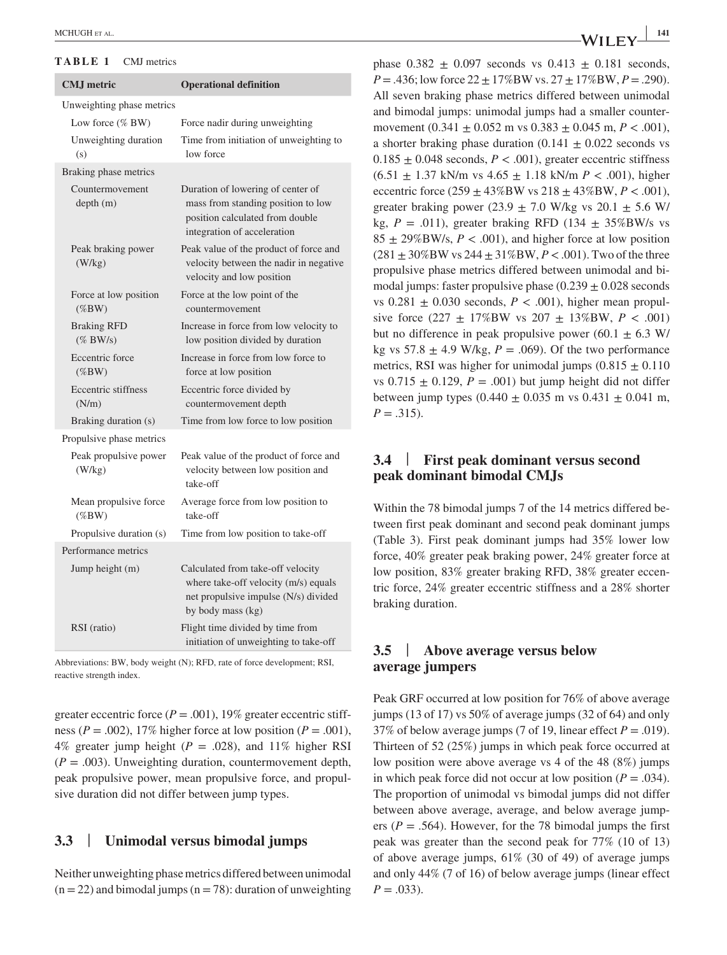#### **TABLE 1** CMJ metrics

| <b>CMJ</b> metric                 | <b>Operational definition</b>                                                                                                             |
|-----------------------------------|-------------------------------------------------------------------------------------------------------------------------------------------|
| Unweighting phase metrics         |                                                                                                                                           |
| Low force (% BW)                  | Force nadir during unweighting                                                                                                            |
| Unweighting duration<br>(s)       | Time from initiation of unweighting to<br>low force                                                                                       |
| Braking phase metrics             |                                                                                                                                           |
| Countermovement<br>depth(m)       | Duration of lowering of center of<br>mass from standing position to low<br>position calculated from double<br>integration of acceleration |
| Peak braking power<br>(W/kg)      | Peak value of the product of force and<br>velocity between the nadir in negative<br>velocity and low position                             |
| Force at low position<br>$(\%BW)$ | Force at the low point of the<br>countermovement                                                                                          |
| <b>Braking RFD</b><br>$(\%$ BW/s) | Increase in force from low velocity to<br>low position divided by duration                                                                |
| Eccentric force<br>$(\%BW)$       | Increase in force from low force to<br>force at low position                                                                              |
| Eccentric stiffness<br>(N/m)      | Eccentric force divided by<br>countermovement depth                                                                                       |
| Braking duration (s)              | Time from low force to low position                                                                                                       |
| Propulsive phase metrics          |                                                                                                                                           |
| Peak propulsive power<br>(W/kg)   | Peak value of the product of force and<br>velocity between low position and<br>take-off                                                   |
| Mean propulsive force<br>$(\%BW)$ | Average force from low position to<br>take-off                                                                                            |
| Propulsive duration (s)           | Time from low position to take-off                                                                                                        |
| Performance metrics               |                                                                                                                                           |
| Jump height (m)                   | Calculated from take-off velocity<br>where take-off velocity (m/s) equals<br>net propulsive impulse (N/s) divided<br>by body mass (kg)    |
| RSI (ratio)                       | Flight time divided by time from<br>initiation of unweighting to take-off                                                                 |

Abbreviations: BW, body weight (N); RFD, rate of force development; RSI, reactive strength index.

greater eccentric force  $(P = .001)$ , 19% greater eccentric stiffness ( $P = .002$ ), 17% higher force at low position ( $P = .001$ ), 4% greater jump height  $(P = .028)$ , and 11% higher RSI  $(P = .003)$ . Unweighting duration, countermovement depth, peak propulsive power, mean propulsive force, and propulsive duration did not differ between jump types.

#### **3.3** | **Unimodal versus bimodal jumps**

Neither unweighting phase metrics differed between unimodal  $(n = 22)$  and bimodal jumps  $(n = 78)$ : duration of unweighting phase  $0.382 \pm 0.097$  seconds vs  $0.413 \pm 0.181$  seconds,  $P = 0.436$ ; low force  $22 \pm 17\%$  BW vs.  $27 \pm 17\%$  BW,  $P = 0.290$ . All seven braking phase metrics differed between unimodal and bimodal jumps: unimodal jumps had a smaller countermovement  $(0.341 \pm 0.052 \text{ m} \text{ vs } 0.383 \pm 0.045 \text{ m}, P < .001)$ , a shorter braking phase duration  $(0.141 \pm 0.022$  seconds vs  $0.185 \pm 0.048$  seconds,  $P < .001$ ), greater eccentric stiffness (6.51 ± 1.37 kN/m vs 4.65 ± 1.18 kN/m *P* < .001), higher eccentric force  $(259 \pm 43\%$ BW vs  $218 \pm 43\%$ BW,  $P < .001$ ), greater braking power (23.9  $\pm$  7.0 W/kg vs 20.1  $\pm$  5.6 W/ kg,  $P = .011$ ), greater braking RFD (134  $\pm$  35%BW/s vs  $85 \pm 29\%$ BW/s,  $P < .001$ ), and higher force at low position  $(281 \pm 30\%$ BW vs  $244 \pm 31\%$ BW,  $P < .001$ ). Two of the three propulsive phase metrics differed between unimodal and bimodal jumps: faster propulsive phase  $(0.239 \pm 0.028$  seconds vs  $0.281 \pm 0.030$  seconds,  $P < .001$ ), higher mean propulsive force  $(227 \pm 17\%$ BW vs  $207 \pm 13\%$ BW,  $P < .001$ ) but no difference in peak propulsive power (60.1  $\pm$  6.3 W/ kg vs  $57.8 \pm 4.9$  W/kg,  $P = .069$ ). Of the two performance metrics, RSI was higher for unimodal jumps  $(0.815 \pm 0.110$ vs  $0.715 \pm 0.129$ ,  $P = .001$ ) but jump height did not differ between jump types  $(0.440 \pm 0.035 \text{ m} \text{ vs } 0.431 \pm 0.041 \text{ m})$ ,  $P = .315$ .

# **3.4** | **First peak dominant versus second peak dominant bimodal CMJs**

Within the 78 bimodal jumps 7 of the 14 metrics differed between first peak dominant and second peak dominant jumps (Table 3). First peak dominant jumps had 35% lower low force, 40% greater peak braking power, 24% greater force at low position, 83% greater braking RFD, 38% greater eccentric force, 24% greater eccentric stiffness and a 28% shorter braking duration.

# **3.5** | **Above average versus below average jumpers**

Peak GRF occurred at low position for 76% of above average jumps (13 of 17) vs 50% of average jumps (32 of 64) and only 37% of below average jumps (7 of 19, linear effect  $P = .019$ ). Thirteen of 52 (25%) jumps in which peak force occurred at low position were above average vs 4 of the 48 (8%) jumps in which peak force did not occur at low position  $(P = .034)$ . The proportion of unimodal vs bimodal jumps did not differ between above average, average, and below average jumpers ( $P = .564$ ). However, for the 78 bimodal jumps the first peak was greater than the second peak for 77% (10 of 13) of above average jumps, 61% (30 of 49) of average jumps and only 44% (7 of 16) of below average jumps (linear effect  $P = .033$ ).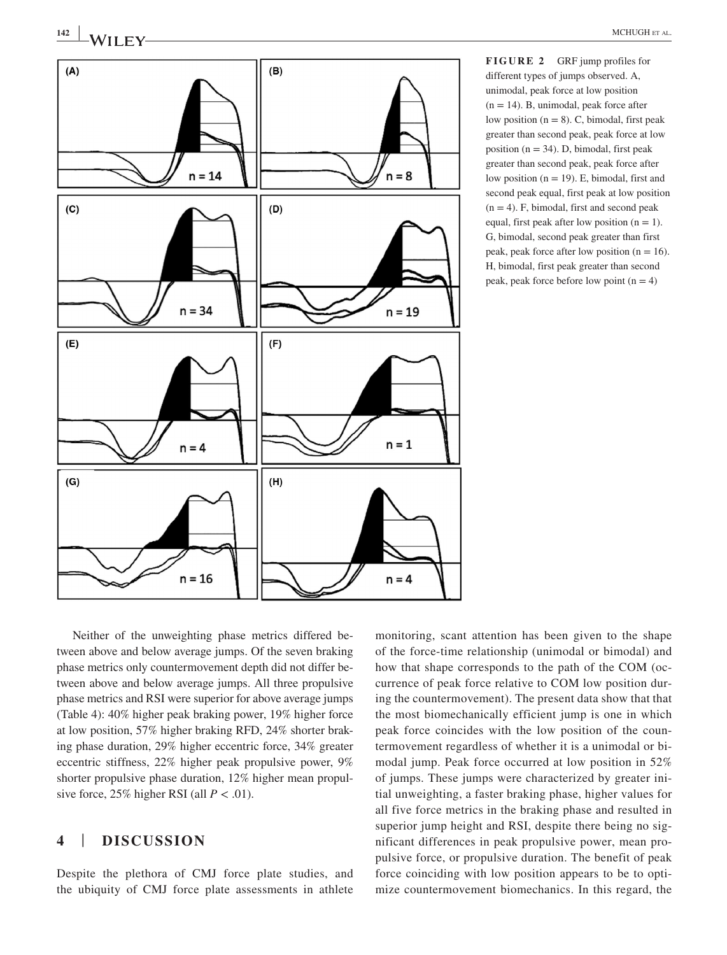**<sup>142</sup> <sup>|</sup>** MCHUGH et al.



**FIGURE 2** GRF jump profiles for different types of jumps observed. A, unimodal, peak force at low position  $(n = 14)$ . B, unimodal, peak force after low position  $(n = 8)$ . C, bimodal, first peak greater than second peak, peak force at low position ( $n = 34$ ). D, bimodal, first peak greater than second peak, peak force after low position  $(n = 19)$ . E, bimodal, first and second peak equal, first peak at low position  $(n = 4)$ . F, bimodal, first and second peak equal, first peak after low position  $(n = 1)$ . G, bimodal, second peak greater than first peak, peak force after low position  $(n = 16)$ . H, bimodal, first peak greater than second peak, peak force before low point  $(n = 4)$ 

Neither of the unweighting phase metrics differed between above and below average jumps. Of the seven braking phase metrics only countermovement depth did not differ between above and below average jumps. All three propulsive phase metrics and RSI were superior for above average jumps (Table 4): 40% higher peak braking power, 19% higher force at low position, 57% higher braking RFD, 24% shorter braking phase duration, 29% higher eccentric force, 34% greater eccentric stiffness, 22% higher peak propulsive power, 9% shorter propulsive phase duration, 12% higher mean propulsive force,  $25\%$  higher RSI (all  $P < .01$ ).

# **4** | **DISCUSSION**

Despite the plethora of CMJ force plate studies, and the ubiquity of CMJ force plate assessments in athlete monitoring, scant attention has been given to the shape of the force-time relationship (unimodal or bimodal) and how that shape corresponds to the path of the COM (occurrence of peak force relative to COM low position during the countermovement). The present data show that that the most biomechanically efficient jump is one in which peak force coincides with the low position of the countermovement regardless of whether it is a unimodal or bimodal jump. Peak force occurred at low position in 52% of jumps. These jumps were characterized by greater initial unweighting, a faster braking phase, higher values for all five force metrics in the braking phase and resulted in superior jump height and RSI, despite there being no significant differences in peak propulsive power, mean propulsive force, or propulsive duration. The benefit of peak force coinciding with low position appears to be to optimize countermovement biomechanics. In this regard, the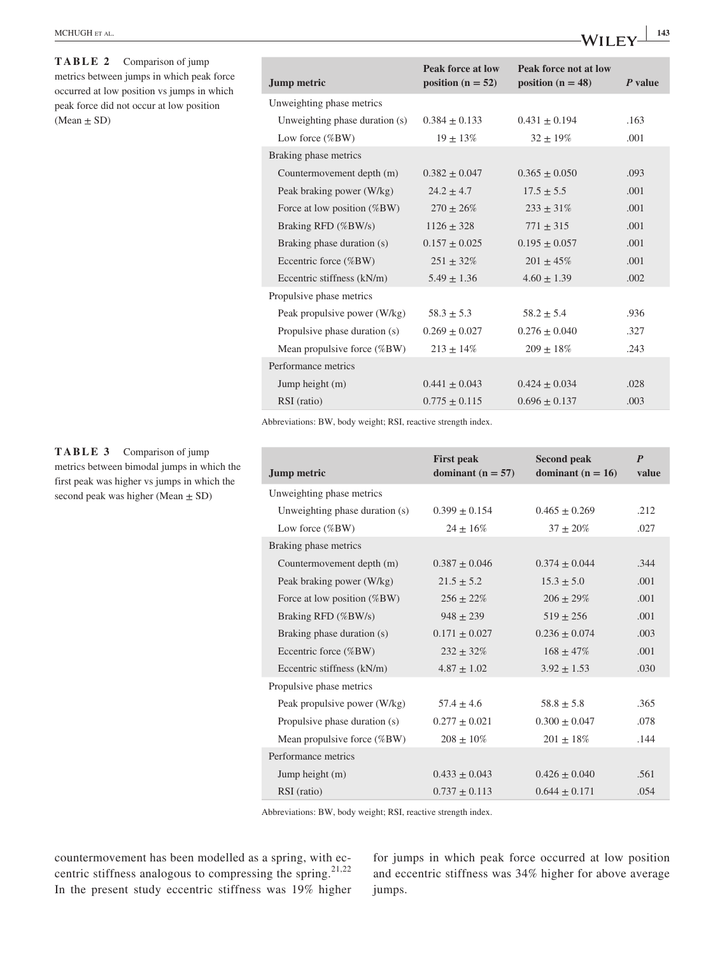| MCHUGH et al. |  |  |  |
|---------------|--|--|--|
|---------------|--|--|--|

**TABLE 2** Comparison of jump metrics between jumps in which peak force occurred at low position vs jumps in which peak force did not occur at low position  $(Mean \pm SD)$ 

**TABLE 3** Comparison of jump metrics between bimodal jumps in which the first peak was higher vs jumps in which the second peak was higher (Mean  $\pm$  SD)

| <b>Jump metric</b>             | Peak force at low<br>position ( $n = 52$ ) | Peak force not at low<br>position ( $n = 48$ ) | P value |
|--------------------------------|--------------------------------------------|------------------------------------------------|---------|
| Unweighting phase metrics      |                                            |                                                |         |
| Unweighting phase duration (s) | $0.384 \pm 0.133$                          | $0.431 \pm 0.194$                              | .163    |
| Low force $(\%BW)$             | $19 \pm 13\%$                              | $32 \pm 19\%$                                  | .001    |
| Braking phase metrics          |                                            |                                                |         |
| Countermovement depth (m)      | $0.382 \pm 0.047$                          | $0.365 \pm 0.050$                              | .093    |
| Peak braking power (W/kg)      | $24.2 \pm 4.7$                             | $17.5 \pm 5.5$                                 | .001    |
| Force at low position (%BW)    | $270 \pm 26\%$                             | $233 + 31\%$                                   | .001    |
| Braking RFD (%BW/s)            | $1126 \pm 328$                             | $771 \pm 315$                                  | .001    |
| Braking phase duration (s)     | $0.157 \pm 0.025$                          | $0.195 \pm 0.057$                              | .001    |
| Eccentric force (%BW)          | $251 \pm 32\%$                             | $201 + 45\%$                                   | .001    |
| Eccentric stiffness (kN/m)     | $5.49 \pm 1.36$                            | $4.60 \pm 1.39$                                | .002    |
| Propulsive phase metrics       |                                            |                                                |         |
| Peak propulsive power (W/kg)   | $58.3 \pm 5.3$                             | $58.2 \pm 5.4$                                 | .936    |
| Propulsive phase duration (s)  | $0.269 \pm 0.027$                          | $0.276 \pm 0.040$                              | .327    |
| Mean propulsive force (%BW)    | $213 \pm 14\%$                             | $209 \pm 18\%$                                 | .243    |
| Performance metrics            |                                            |                                                |         |
| Jump height (m)                | $0.441 + 0.043$                            | $0.424 + 0.034$                                | .028    |
| RSI (ratio)                    | $0.775 + 0.115$                            | $0.696 + 0.137$                                | .003    |

Abbreviations: BW, body weight; RSI, reactive strength index.

| Jump metric                    | <b>First peak</b><br>dominant ( $n = 57$ ) | <b>Second peak</b><br>dominant ( $n = 16$ ) | $\boldsymbol{P}$<br>value |
|--------------------------------|--------------------------------------------|---------------------------------------------|---------------------------|
| Unweighting phase metrics      |                                            |                                             |                           |
| Unweighting phase duration (s) | $0.399 + 0.154$                            | $0.465 \pm 0.269$                           | .212                      |
| Low force $(\%BW)$             | $24 \pm 16\%$                              | $37 \pm 20\%$                               | .027                      |
| Braking phase metrics          |                                            |                                             |                           |
| Countermovement depth (m)      | $0.387 \pm 0.046$                          | $0.374 \pm 0.044$                           | .344                      |
| Peak braking power (W/kg)      | $21.5 \pm 5.2$                             | $15.3 \pm 5.0$                              | .001                      |
| Force at low position (%BW)    | $256 \pm 22\%$                             | $206 \pm 29\%$                              | .001                      |
| Braking RFD (%BW/s)            | $948 \pm 239$                              | $519 + 256$                                 | .001                      |
| Braking phase duration (s)     | $0.171 \pm 0.027$                          | $0.236 \pm 0.074$                           | .003                      |
| Eccentric force (%BW)          | $232 + 32\%$                               | $168 + 47\%$                                | .001                      |
| Eccentric stiffness (kN/m)     | $4.87 + 1.02$                              | $3.92 + 1.53$                               | .030                      |
| Propulsive phase metrics       |                                            |                                             |                           |
| Peak propulsive power (W/kg)   | $57.4 \pm 4.6$                             | $58.8 \pm 5.8$                              | .365                      |
| Propulsive phase duration (s)  | $0.277 \pm 0.021$                          | $0.300 + 0.047$                             | .078                      |
| Mean propulsive force (%BW)    | $208 \pm 10\%$                             | $201 \pm 18\%$                              | .144                      |
| Performance metrics            |                                            |                                             |                           |
| Jump height (m)                | $0.433 + 0.043$                            | $0.426 + 0.040$                             | .561                      |
| RSI (ratio)                    | $0.737 + 0.113$                            | $0.644 + 0.171$                             | .054                      |

Abbreviations: BW, body weight; RSI, reactive strength index.

countermovement has been modelled as a spring, with eccentric stiffness analogous to compressing the spring.<sup>21,22</sup> In the present study eccentric stiffness was 19% higher for jumps in which peak force occurred at low position and eccentric stiffness was 34% higher for above average jumps.

 $-WILEY$ <sup>143</sup>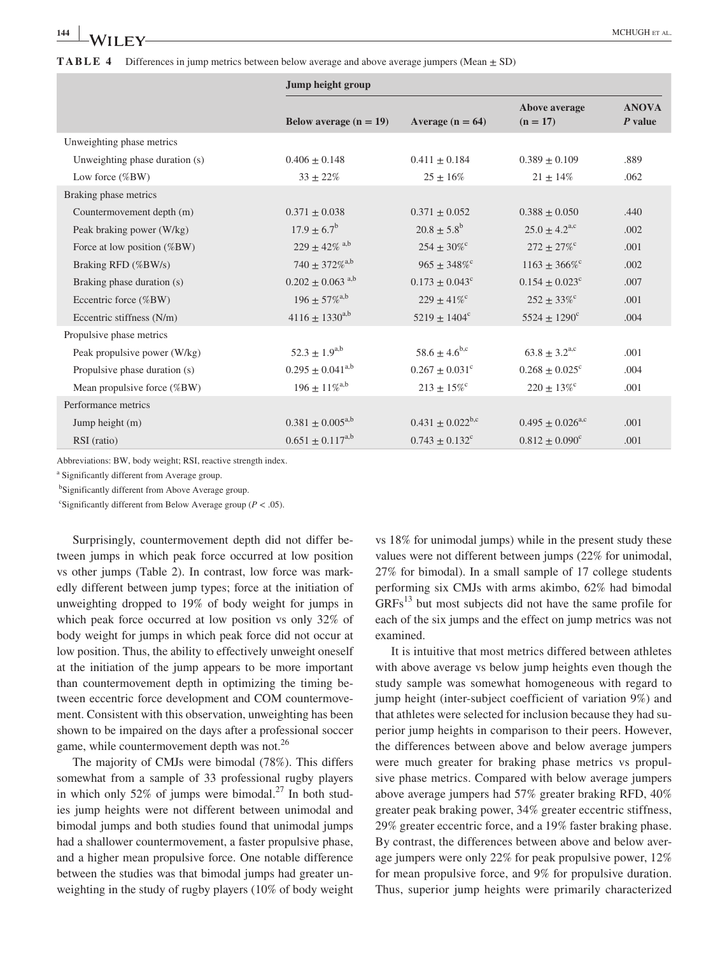|                                | Jump height group                |                                |                                |                           |
|--------------------------------|----------------------------------|--------------------------------|--------------------------------|---------------------------|
|                                | Below average $(n = 19)$         | Average $(n = 64)$             | Above average<br>$(n = 17)$    | <b>ANOVA</b><br>$P$ value |
| Unweighting phase metrics      |                                  |                                |                                |                           |
| Unweighting phase duration (s) | $0.406 \pm 0.148$                | $0.411 \pm 0.184$              | $0.389 \pm 0.109$              | .889                      |
| Low force $(\%BW)$             | $33 \pm 22\%$                    | $25 \pm 16\%$                  | $21 \pm 14\%$                  | .062                      |
| Braking phase metrics          |                                  |                                |                                |                           |
| Countermovement depth (m)      | $0.371 \pm 0.038$                | $0.371 \pm 0.052$              | $0.388 \pm 0.050$              | .440                      |
| Peak braking power (W/kg)      | $17.9 \pm 6.7^{\rm b}$           | $20.8 \pm 5.8^{\rm b}$         | $25.0 \pm 4.2^{\text{a,c}}$    | .002                      |
| Force at low position $(\%BW)$ | $229 \pm 42\%$ a,b               | $254 \pm 30\%$ <sup>c</sup>    | $272 \pm 27\%$ <sup>c</sup>    | .001                      |
| Braking RFD (%BW/s)            | $740 \pm 372\%$ <sup>a,b</sup>   | $965 \pm 348\%$ <sup>c</sup>   | $1163 \pm 366\%$ <sup>c</sup>  | .002                      |
| Braking phase duration (s)     | $0.202 \pm 0.063$ <sup>a,b</sup> | $0.173 \pm 0.043$ <sup>c</sup> | $0.154 \pm 0.023$ <sup>c</sup> | .007                      |
| Eccentric force (%BW)          | $196 \pm 57 \%$ <sup>a,b</sup>   | $229 + 41\%$ <sup>c</sup>      | $252 \pm 33\%$ <sup>c</sup>    | .001                      |
| Eccentric stiffness (N/m)      | $4116 \pm 1330^{a,b}$            | $5219 \pm 1404$ <sup>c</sup>   | $5524 \pm 1290^{\circ}$        | .004                      |
| Propulsive phase metrics       |                                  |                                |                                |                           |
| Peak propulsive power (W/kg)   | $52.3 \pm 1.9^{a,b}$             | $58.6 \pm 4.6^{\rm b,c}$       | $63.8 \pm 3.2^{\text{a,c}}$    | .001                      |
| Propulsive phase duration (s)  | $0.295 \pm 0.041^{\text{a,b}}$   | $0.267 \pm 0.031$ <sup>c</sup> | $0.268 \pm 0.025$ <sup>c</sup> | .004                      |
| Mean propulsive force (%BW)    | $196 \pm 11\%^{a,b}$             | $213 \pm 15\%$ <sup>c</sup>    | $220 \pm 13\%$ <sup>c</sup>    | .001                      |
| Performance metrics            |                                  |                                |                                |                           |
| Jump height (m)                | $0.381 \pm 0.005^{a,b}$          | $0.431 \pm 0.022^{b,c}$        | $0.495 + 0.026^{\text{a,c}}$   | .001                      |
| RSI (ratio)                    | $0.651 \pm 0.117^{a,b}$          | $0.743 \pm 0.132$ <sup>c</sup> | $0.812 \pm 0.090^{\circ}$      | .001                      |

Abbreviations: BW, body weight; RSI, reactive strength index.

a Significantly different from Average group.

<sup>b</sup>Significantly different from Above Average group.

<sup>c</sup>Significantly different from Below Average group ( $P < .05$ ).

Surprisingly, countermovement depth did not differ between jumps in which peak force occurred at low position vs other jumps (Table 2). In contrast, low force was markedly different between jump types; force at the initiation of unweighting dropped to 19% of body weight for jumps in which peak force occurred at low position vs only 32% of body weight for jumps in which peak force did not occur at low position. Thus, the ability to effectively unweight oneself at the initiation of the jump appears to be more important than countermovement depth in optimizing the timing between eccentric force development and COM countermovement. Consistent with this observation, unweighting has been shown to be impaired on the days after a professional soccer game, while countermovement depth was not.<sup>26</sup>

The majority of CMJs were bimodal (78%). This differs somewhat from a sample of 33 professional rugby players in which only 52% of jumps were bimodal.<sup>27</sup> In both studies jump heights were not different between unimodal and bimodal jumps and both studies found that unimodal jumps had a shallower countermovement, a faster propulsive phase, and a higher mean propulsive force. One notable difference between the studies was that bimodal jumps had greater unweighting in the study of rugby players (10% of body weight

vs 18% for unimodal jumps) while in the present study these values were not different between jumps (22% for unimodal, 27% for bimodal). In a small sample of 17 college students performing six CMJs with arms akimbo, 62% had bimodal  $GRFs<sup>13</sup>$  but most subjects did not have the same profile for each of the six jumps and the effect on jump metrics was not examined.

It is intuitive that most metrics differed between athletes with above average vs below jump heights even though the study sample was somewhat homogeneous with regard to jump height (inter-subject coefficient of variation 9%) and that athletes were selected for inclusion because they had superior jump heights in comparison to their peers. However, the differences between above and below average jumpers were much greater for braking phase metrics vs propulsive phase metrics. Compared with below average jumpers above average jumpers had 57% greater braking RFD, 40% greater peak braking power, 34% greater eccentric stiffness, 29% greater eccentric force, and a 19% faster braking phase. By contrast, the differences between above and below average jumpers were only 22% for peak propulsive power, 12% for mean propulsive force, and 9% for propulsive duration. Thus, superior jump heights were primarily characterized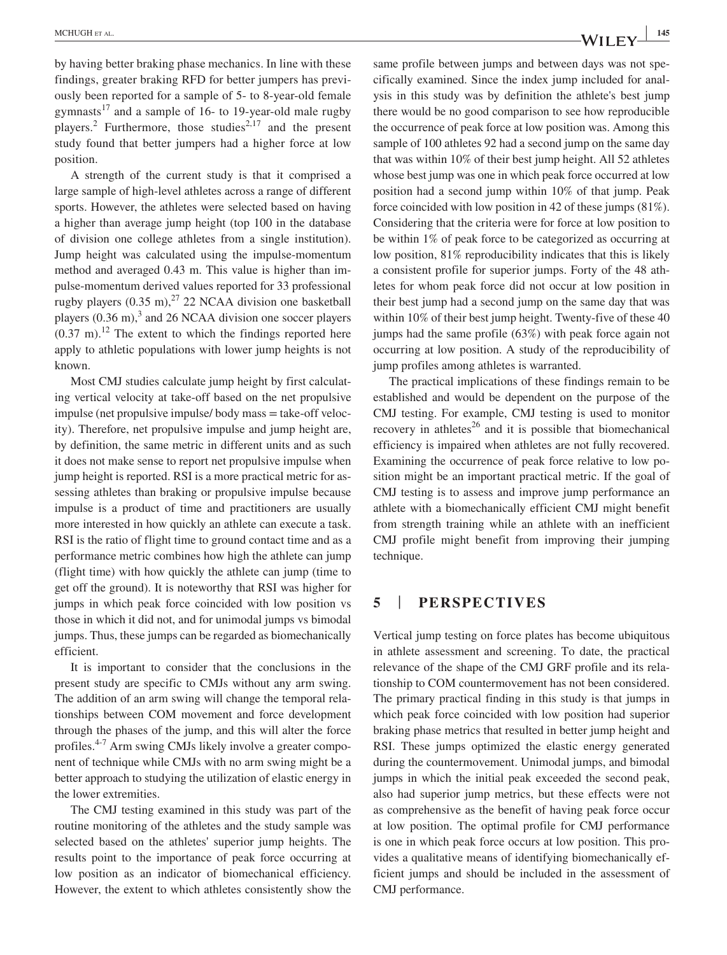by having better braking phase mechanics. In line with these findings, greater braking RFD for better jumpers has previously been reported for a sample of 5- to 8-year-old female gymnasts<sup>17</sup> and a sample of 16- to 19-year-old male rugby players.<sup>2</sup> Furthermore, those studies<sup>2,17</sup> and the present study found that better jumpers had a higher force at low position.

A strength of the current study is that it comprised a large sample of high-level athletes across a range of different sports. However, the athletes were selected based on having a higher than average jump height (top 100 in the database of division one college athletes from a single institution). Jump height was calculated using the impulse-momentum method and averaged 0.43 m. This value is higher than impulse-momentum derived values reported for 33 professional rugby players  $(0.35 \text{ m})$ ,<sup>27</sup> 22 NCAA division one basketball players  $(0.36 \text{ m})$ ,<sup>3</sup> and 26 NCAA division one soccer players  $(0.37 \text{ m})$ .<sup>12</sup> The extent to which the findings reported here apply to athletic populations with lower jump heights is not known.

Most CMJ studies calculate jump height by first calculating vertical velocity at take-off based on the net propulsive impulse (net propulsive impulse/ body mass = take-off velocity). Therefore, net propulsive impulse and jump height are, by definition, the same metric in different units and as such it does not make sense to report net propulsive impulse when jump height is reported. RSI is a more practical metric for assessing athletes than braking or propulsive impulse because impulse is a product of time and practitioners are usually more interested in how quickly an athlete can execute a task. RSI is the ratio of flight time to ground contact time and as a performance metric combines how high the athlete can jump (flight time) with how quickly the athlete can jump (time to get off the ground). It is noteworthy that RSI was higher for jumps in which peak force coincided with low position vs those in which it did not, and for unimodal jumps vs bimodal jumps. Thus, these jumps can be regarded as biomechanically efficient.

It is important to consider that the conclusions in the present study are specific to CMJs without any arm swing. The addition of an arm swing will change the temporal relationships between COM movement and force development through the phases of the jump, and this will alter the force profiles.<sup>4-7</sup> Arm swing CMJs likely involve a greater component of technique while CMJs with no arm swing might be a better approach to studying the utilization of elastic energy in the lower extremities.

The CMJ testing examined in this study was part of the routine monitoring of the athletes and the study sample was selected based on the athletes' superior jump heights. The results point to the importance of peak force occurring at low position as an indicator of biomechanical efficiency. However, the extent to which athletes consistently show the

same profile between jumps and between days was not specifically examined. Since the index jump included for analysis in this study was by definition the athlete's best jump there would be no good comparison to see how reproducible the occurrence of peak force at low position was. Among this sample of 100 athletes 92 had a second jump on the same day that was within 10% of their best jump height. All 52 athletes whose best jump was one in which peak force occurred at low position had a second jump within 10% of that jump. Peak force coincided with low position in 42 of these jumps (81%). Considering that the criteria were for force at low position to be within 1% of peak force to be categorized as occurring at low position, 81% reproducibility indicates that this is likely a consistent profile for superior jumps. Forty of the 48 athletes for whom peak force did not occur at low position in their best jump had a second jump on the same day that was within 10% of their best jump height. Twenty-five of these 40 jumps had the same profile (63%) with peak force again not occurring at low position. A study of the reproducibility of jump profiles among athletes is warranted.

The practical implications of these findings remain to be established and would be dependent on the purpose of the CMJ testing. For example, CMJ testing is used to monitor recovery in athletes $^{26}$  and it is possible that biomechanical efficiency is impaired when athletes are not fully recovered. Examining the occurrence of peak force relative to low position might be an important practical metric. If the goal of CMJ testing is to assess and improve jump performance an athlete with a biomechanically efficient CMJ might benefit from strength training while an athlete with an inefficient CMJ profile might benefit from improving their jumping technique.

#### **5** | **PERSPECTIVES**

Vertical jump testing on force plates has become ubiquitous in athlete assessment and screening. To date, the practical relevance of the shape of the CMJ GRF profile and its relationship to COM countermovement has not been considered. The primary practical finding in this study is that jumps in which peak force coincided with low position had superior braking phase metrics that resulted in better jump height and RSI. These jumps optimized the elastic energy generated during the countermovement. Unimodal jumps, and bimodal jumps in which the initial peak exceeded the second peak, also had superior jump metrics, but these effects were not as comprehensive as the benefit of having peak force occur at low position. The optimal profile for CMJ performance is one in which peak force occurs at low position. This provides a qualitative means of identifying biomechanically efficient jumps and should be included in the assessment of CMJ performance.